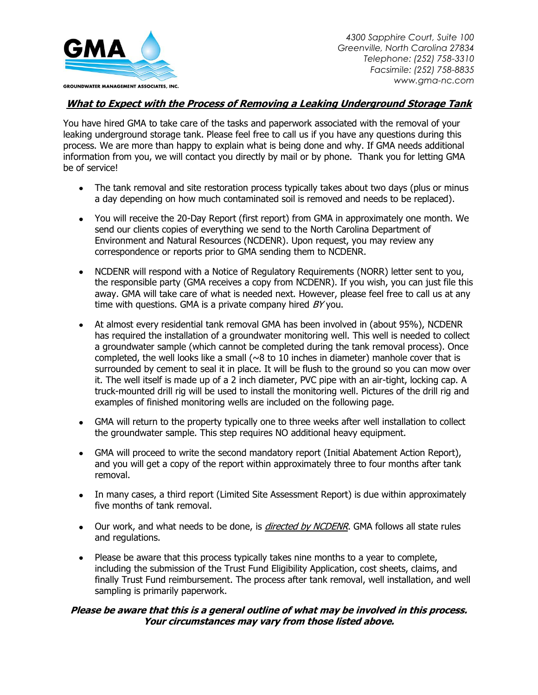

*4300 Sapphire Court, Suite 100 Greenville, North Carolina 27834 Telephone: (252) 758-3310 Facsimile: (252) 758-8835 www.gma-nc.com*

## **What to Expect with the Process of Removing a Leaking Underground Storage Tank**

You have hired GMA to take care of the tasks and paperwork associated with the removal of your leaking underground storage tank. Please feel free to call us if you have any questions during this process. We are more than happy to explain what is being done and why. If GMA needs additional information from you, we will contact you directly by mail or by phone. Thank you for letting GMA be of service!

- The tank removal and site restoration process typically takes about two days (plus or minus a day depending on how much contaminated soil is removed and needs to be replaced).
- You will receive the 20-Day Report (first report) from GMA in approximately one month. We send our clients copies of everything we send to the North Carolina Department of Environment and Natural Resources (NCDENR). Upon request, you may review any correspondence or reports prior to GMA sending them to NCDENR.
- NCDENR will respond with a Notice of Regulatory Requirements (NORR) letter sent to you, the responsible party (GMA receives a copy from NCDENR). If you wish, you can just file this away. GMA will take care of what is needed next. However, please feel free to call us at any time with questions. GMA is a private company hired  $BY$  you.
- At almost every residential tank removal GMA has been involved in (about 95%), NCDENR has required the installation of a groundwater monitoring well. This well is needed to collect a groundwater sample (which cannot be completed during the tank removal process). Once completed, the well looks like a small ( $\sim$ 8 to 10 inches in diameter) manhole cover that is surrounded by cement to seal it in place. It will be flush to the ground so you can mow over it. The well itself is made up of a 2 inch diameter, PVC pipe with an air-tight, locking cap. A truck-mounted drill rig will be used to install the monitoring well. Pictures of the drill rig and examples of finished monitoring wells are included on the following page.
- GMA will return to the property typically one to three weeks after well installation to collect the groundwater sample. This step requires NO additional heavy equipment.
- GMA will proceed to write the second mandatory report (Initial Abatement Action Report), and you will get a copy of the report within approximately three to four months after tank removal.
- In many cases, a third report (Limited Site Assessment Report) is due within approximately five months of tank removal.
- Our work, and what needs to be done, is *directed by NCDENR*. GMA follows all state rules and regulations.
- Please be aware that this process typically takes nine months to a year to complete, including the submission of the Trust Fund Eligibility Application, cost sheets, claims, and finally Trust Fund reimbursement. The process after tank removal, well installation, and well sampling is primarily paperwork.

## **Please be aware that this is a general outline of what may be involved in this process. Your circumstances may vary from those listed above.**